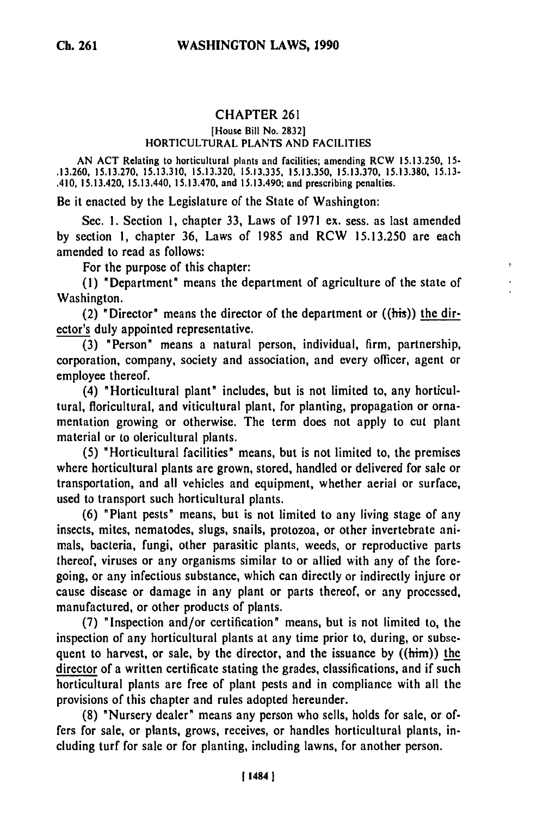## CHAPTER 261

## [House Bill No. 2832] HORTICULTURAL PLANTS AND FACILITIES

AN ACT Relating to horticultural plants and facilities; amending RCW 15.13.250, **15-** .13.260, 15.13.270, 15.13.310, 15.13.320, 15.13.335, 15.13.350, 15.13.370, 15.13.380, 15.13- .410, 15.13.420, 15.13.440, 15.13.470, and 15.13.490; and prescribing penalties.

Be it enacted by the Legislature of the State of Washington:

Sec. 1. Section **1,** chapter **33,** Laws of 1971 ex. sess. as last amended by section **1,** chapter **36,** Laws of 1985 and RCW 15.13.250 are each amended to read as follows:

For the purpose of this chapter:

(1) "Department" means the department of agriculture of the state of Washington.

(2) "Director" means the director of the department or  $(\text{this})$  the director's duly appointed representative.

**(3)** "Person" means a natural person, individual, firm, partnership, corporation, company, society and association, and every officer, agent or employee thereof.

(4) "Horticultural plant" includes, but is not limited to, any horticultural, floricultural, and viticultural plant, for planting, propagation or ornamentation growing or otherwise. The term does not apply to cut plant material or to olericultural plants.

**(5)** "Horticultural facilities" means, but is not limited to, the premises where horticultural plants are grown, stored, handled or delivered for sale or transportation, and all vehicles and equipment, whether aerial or surface, used to transport such horticultural plants.

**(6)** "Plant pests" means, but is not limited to any living stage of any insects, mites, nematodes, slugs, snails, protozoa, or other invertebrate animals, bacteria, fungi, other parasitic plants, weeds, or reproductive parts thereof, viruses or any organisms similar to or allied with any of the foregoing, or any infectious substance, which can directly or indirectly injure or cause disease or damage in any plant or parts thereof, or any processed, manufactured, or other products of plants.

**(7)** "Inspection and/or certification" means, but is not limited to, the inspection of any horticultural plants at any time prior to, during, or subsequent to harvest, or sale, **by** the director, and the issuance **by** ((him)) the director of a written certificate stating the grades, classifications, and if such horticultural plants are free of plant pests and in compliance with all the provisions of this chapter and rules adopted hereunder.

**(8)** "Nursery dealer" means any person who sells, holds for sale, or offers for sale, or plants, grows, receives, or handles horticultural plants, including turf for sale or for planting, including lawns, for another person.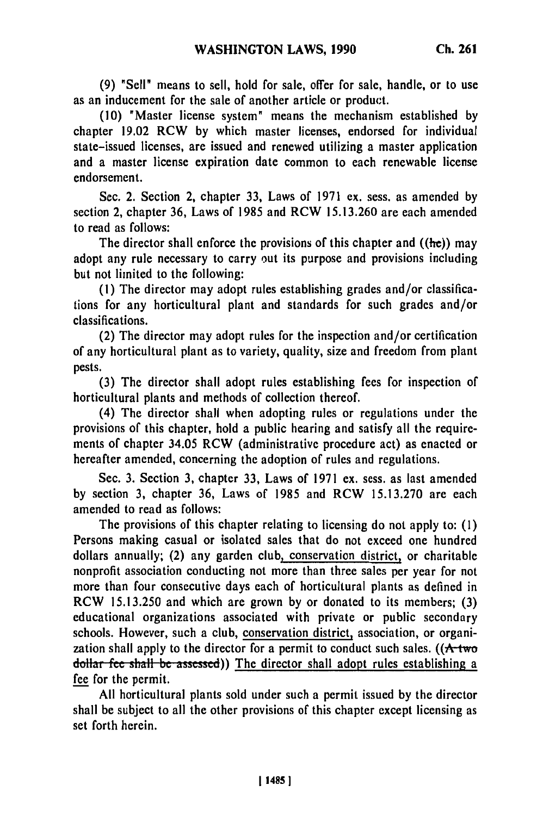**(9)** "Sell" means to sell, hold for sale, offer for sale, handle, or to use as an inducement for the sale of another article or product.

**(10)** "Master license system" means the mechanism established **by** chapter 19.02 RCW by which master licenses, endorsed for individual state-issued licenses, are issued and renewed utilizing a master application and a master license expiration date common to each renewable license endorsement.

Sec. 2. Section 2, chapter 33, Laws of 1971 ex. sess. as amended by section 2, chapter 36, Laws of **1985** and RCW 15.13.260 are each amended to read as follows:

The director shall enforce the provisions of this chapter and  $(\text{he})$  may adopt any rule necessary to carry out its purpose and provisions including but not limited to the following:

**(1)** The director may adopt rules establishing grades and/or classifications for any horticultural plant and standards for such grades and/or classifications.

(2) The director may adopt rules for the inspection and/or certification of any horticultural plant as to variety, quality, size and freedom from plant pests.

**(3)** The director shall adopt rules establishing fees for inspection of horticultural plants and methods of collection thereof.

(4) The director shall when adopting rules or regulations under the provisions of this chapter, hold a public hearing and satisfy all the requirements of chapter 34.05 RCW (administrative procedure act) as enacted or hereafter amended, concerning the adoption of rules and regulations.

Sec. **3.** Section **3,** chapter 33, Laws of 1971 ex. sess. as last amended **by** section 3, chapter 36, Laws of **1985** and RCW 15.13.270 are each amended to read as follows:

The provisions of this chapter relating to licensing do not apply to: **(1)** Persons making casual or isolated sales that do not exceed one hundred dollars annually; (2) any garden club, conservation district, or charitable nonprofit association conducting not more than three sales per year for not more than four consecutive days each of horticultural plants as defined in RCW 15.13.250 and which are grown **by** or donated to its members; (3) educational organizations associated with private or public secondary schools. However, such a club, conservation district, association, or organization shall apply to the director for a permit to conduct such sales. ( $(A$ -two **dollar fee shall** be **asssed))** The director shall adopt rules establishing a fee for the permit.

**All** horticultural plants sold under such a permit issued **by** the director shall be subject to all the other provisions of this chapter except licensing as set forth herein.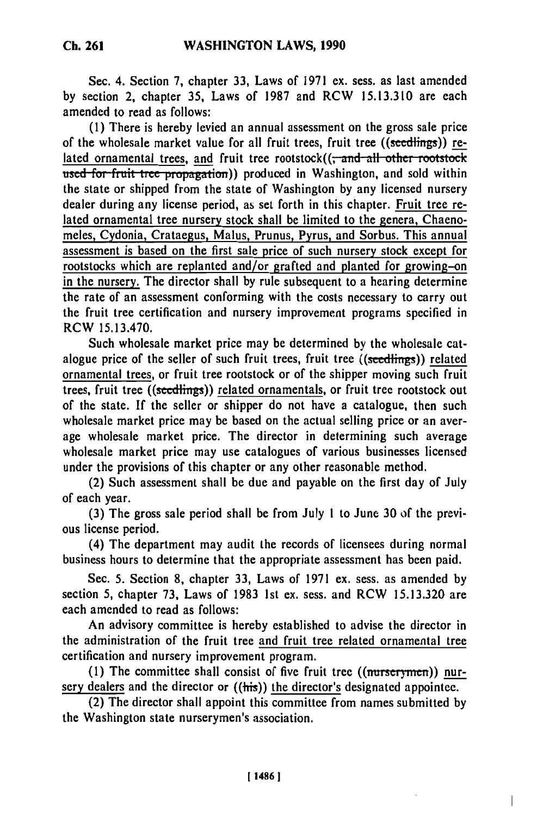Sec. 4. Section **7,** chapter **33,** Laws of **1971 ex.** sess. as last amended **by** section 2, chapter **35,** Laws of 1987 and RCW **15.13.310** are each amended to read as follows:

**(1)** There is hereby levied an annual assessment on the gross sale price of the wholesale market value for all fruit trees, fruit tree ((seedlings)) related ornamental trees, and fruit tree rootstock((<del>, and all other rootstock</del> used for fruit tree propagation)) produced in Washington, and sold within the state or shipped from the state of Washington **by** any licensed nursery dealer during any license period, as set forth in this chapter. Fruit tree related ornamental tree nursery stock shall be limited to the genera, Chaenomeles, Cydonia, Crataegus, Malus, Prunus, Pyrus, and Sorbus. This annual assessment is based on the first sale price of such nursery stock except for rootstocks which are replanted and/or grafted and planted for growing-on in the nursery. The director shall **by** rule subsequent to a hearing determine the rate of an assessment conforming with the costs necessary to carry out the fruit tree certification and nursery improvement programs specified in RCW 15.13.470.

Such wholesale market price may be determined **by** the wholesale catalogue price of the seller of such fruit trees, fruit tree ((seedlings)) related ornamental trees, or fruit tree rootstock or of the shipper moving such fruit trees, fruit tree ((seedlings)) related ornamentals, or fruit tree rootstock out of the state. **If** the seller or shipper do not have a catalogue, then such wholesale market price may be based on the actual selling price or an average wholesale market price. The director in determining such average wholesale market price may use catalogues of various businesses licensed under the provisions of this chapter or any other reasonable method.

(2) Such assessment shall be due and payable on the first day of July of each year.

**(3)** The gross sale period shall be from July **1** to June **30 of** the previous license period.

(4) The department may audit the records of licensees during normal business hours to determine that the appropriate assessment has been paid.

Sec. **5.** Section **8,** chapter **33,** Laws of **1971** ex. sess. as amended **by** section **5,** chapter **73,** Laws of **1983 1st** ex. sess. and RCW **15.13.320** are each amended to read as follows:

An advisory committee is hereby established to advise the director in the administration of the fruit tree and fruit tree related ornamental tree certification and nursery improvement program.

(1) The committee shall consist of five fruit tree ((nurserymen)) nursery dealers and the director or  $((\overrightarrow{his}))$  the director's designated appointee.

(2) The director shall appoint this committee from names submitted **by** the Washington state nurserymen's association.

**Ch. 261**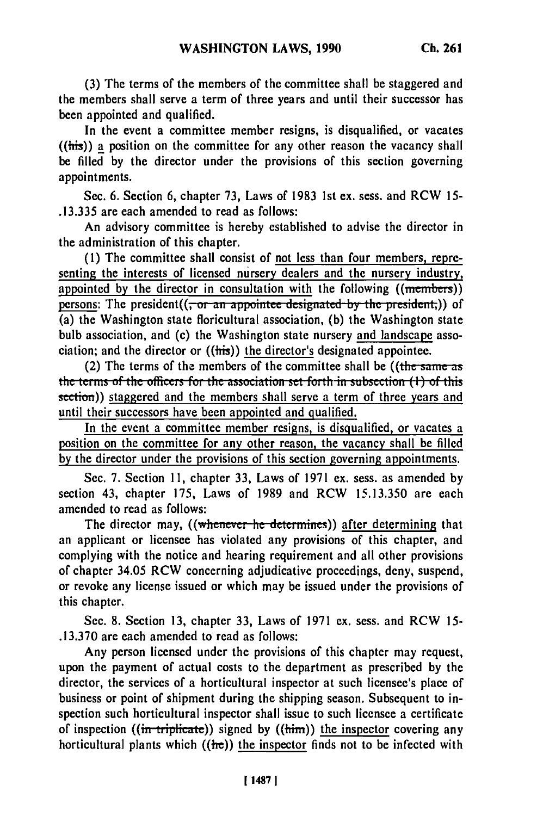**(3)** The terms of the members of the committee shall be staggered and the members shall serve a term of three years and until their successor has been appointed and qualified.

In the event a committee member resigns, is disqualified, or vacates  $(\text{this})$  a position on the committee for any other reason the vacancy shall be filled **by** the director under the provisions of this section governing appointments.

Sec. **6.** Section **6,** chapter **73,** Laws of **1983 1st** ex. sess. and RCW **15- .13.335** are each amended to read as follows:

An advisory committee is hereby established to advise the director in the administration of this chapter.

**(1)** The committee shall consist of not less than four members, representing the interests of licensed nursery dealers and the nursery industry, appointed **by** the director in consultation with the following ((membes)) persons: The president((<del>, or an appointee designated by the president,</del>)) of (a) the Washington state floricultural association, (b) the Washington state bulb association, and (c) the Washington state nursery and landscape association; and the director or ((his)) the director's designated appointee.

(2) The terms of the members of the committee shall be ((the same as the terms of the officers for the association set forth in subsection  $(1)$  of this section)) staggered and the members shall serve a term of three years and until their successors have been appointed and qualified.

In the event a committee member resigns, is disqualified, or vacates a position on the committee for any other reason, the vacancy shall be filled **by** the director under the provisions of this section governing appointments.

Sec. 7. Section **11,** chapter **33,** Laws of 1971 **ex.** sess. as amended by section 43, chapter 175, Laws of 1989 and RCW 15.13.350 are each amended to read as follows:

The director may, ((whenever he determines)) after determining that an applicant or licensee has violated any provisions of this chapter, and complying with the notice and hearing requirement and all other provisions of chapter 34.05 RCW concerning adjudicative proceedings, deny, suspend, or revoke any license issued or which may be issued under the provisions of this chapter.

Sec. 8. Section **13,** chapter **33,** Laws of 1971 **ex.** sess. and RCW **15- .13.370** are each amended to read as follows:

Any person licensed under the provisions of this chapter may request, upon the payment of actual costs to the department as prescribed by the director, the services of a horticultural inspector at such licensee's place of business or point of shipment during the shipping season. Subsequent to inspection such horticultural inspector shall issue to such licensee a certificate of inspection ((in triplicate)) signed by (( $\lim$ )) the inspector covering any horticultural plants which  $((he))$  the inspector finds not to be infected with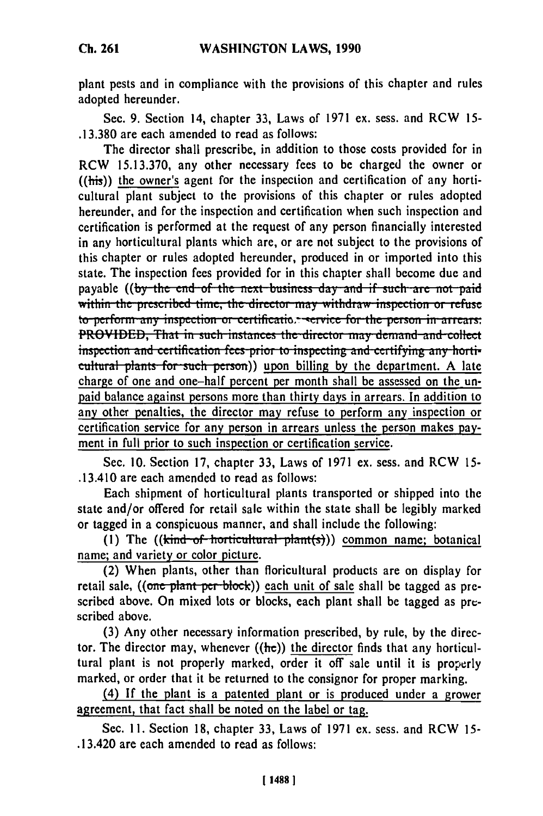**plant** pests and in compliance with the provisions of this chapter and rules adopted hereunder.

Sec. **9.** Section 14, chapter **33,** Laws of **1971** ex. sess. and RCW **15- .13.380** are each amended to read as follows:

The director shall prescribe, in addition to those costs provided for in RCW **15.13.370,** any other necessary fees to be charged the owner or  $((this))$  the owner's agent for the inspection and certification of any horticultural plant subject to the provisions of this chapter or rules adopted hereunder, and for the inspection and certification when such inspection and certification is performed at the request of any person financially interested in any horticultural plants which are, or are not subject to the provisions of this chapter or rules adopted hereunder, produced in or imported into this state. The inspection fees provided for in this chapter shall become due and payable ((by the end of the next business day and if such are not paid within the prescribed time, the director may withdraw inspection or refuse to perform any inspection or certificatio... service for the person in arrears:<br>PROVIDED, That in such instances the director may demand and collect inspection and certification fees prior to inspecting and certifying any horticultural plants for such person)) upon billing by the department. A late charge of one and one-half percent per month shall be assessed on the unpaid balance against persons more than thirty days in arrears. In addition to any other penalties, the director may refuse to perform any inspection or certification service for any person in arrears unless the person makes payment in full prior to such inspection or certification service.

Sec. 10. Section 17, chapter 33, Laws of 1971 ex. sess. and RCW 15- .13.410 are each amended to read as follows:

Each shipment of horticultural plants transported or shipped into the state and/or offered for retail sale within the state shall be legibly marked or tagged in a conspicuous manner, and shall include the following:

(1) The ((kind of horticultural plant(s))) common name; botanical name; and variety or color picture.

(2) When plants, other than floricultural products are on display for retail sale, ((one plant per block)) each unit of sale shall be tagged as prescribed above. On mixed lots or blocks, each plant shall be tagged as prescribed above.

(3) Any other necessary information prescribed, **by** rule, **by** the director. The director may, whenever  $((he))$  the director finds that any horticultural plant is not properly marked, order it off sale until it is properly marked, or order that it be returned to the consignor for proper marking.

(4) **If** the plant is a patented plant or is produced under a grower agreement, that fact shall be noted on the label or tag.

Sec. 11. Section **18,** chapter 33, Laws of 1971 ex. sess. and RCW 15- .13.420 are each amended to read as follows: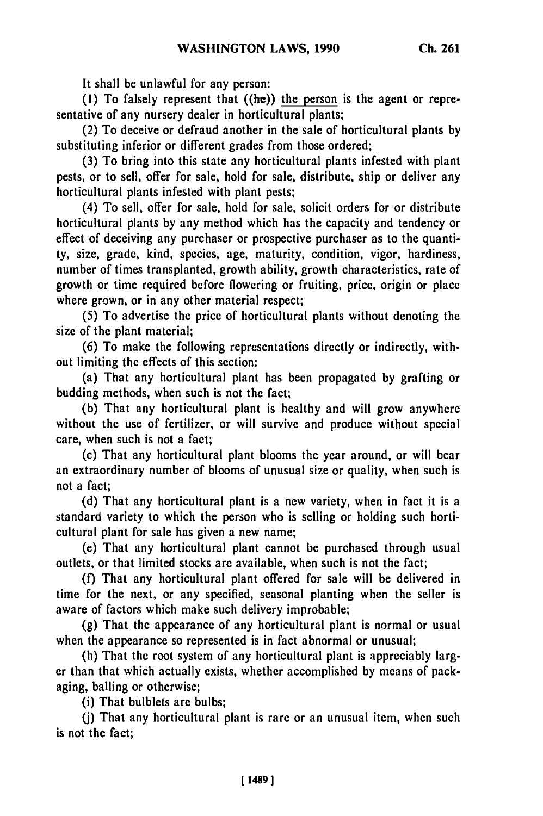It shall **be** unlawful for any person:

**(1)** To falsely represent that ((he)) the person is the agent or representative of any nursery dealer in horticultural plants;

(2) To deceive or defraud another in the sale of horticultural plants **by** substituting inferior or different grades from those ordered;

**(3)** To bring into this state any horticultural plants infested with plant pests, or to sell, offer for sale, hold for sale, distribute, ship or deliver any horticultural plants infested with plant pests;

(4) To sell, offer for sale, hold for sale, solicit orders for or distribute horticultural plants **by** any method which has the capacity and tendency or effect of deceiving any purchaser or prospective purchaser as to the quantity, size, grade, kind, species, age, maturity, condition, vigor, hardiness, number of times transplanted, growth ability, growth characteristics, rate of growth or time required before flowering or fruiting, price, origin or place where grown, or in any other material respect;

**(5)** To advertise the price of horticultural plants without denoting the size of the plant material;

**(6)** To make the following representations directly or indirectly, without limiting the effects of this section:

(a) That any horticultural plant has been propagated **by** grafting or budding methods, when such is not the fact;

**(b)** That any horticultural plant is healthy and will grow anywhere without the use of fertilizer, or will survive and produce without special care, when such is not a fact;

(c) That any horticultural plant blooms the year around, or will bear an extraordinary number of blooms of unusual size or quality, when such is not a fact;

**(d)** That any horticultural plant is a new variety, when in fact it is a standard variety to which the person who is selling or holding such horticultural plant for sale has given a new name;

(e) That any horticultural plant cannot be purchased through usual outlets, or that limited stocks are available, when such is not the fact;

(f) That any horticultural plant offered for sale will be delivered in time for the next, or any specified, seasonal planting when the seller is aware of factors which make such delivery improbable;

(g) That the appearance of any horticultural plant is normal or usual when the appearance so represented is in fact abnormal or unusual;

(h) That the root system of any horticultural plant is appreciably larger than that which actually exists, whether accomplished by means of packaging, balling or otherwise;

(i) That bulblets are bulbs;

(j) That any horticultural plant is rare or an unusual item, when such is not the fact;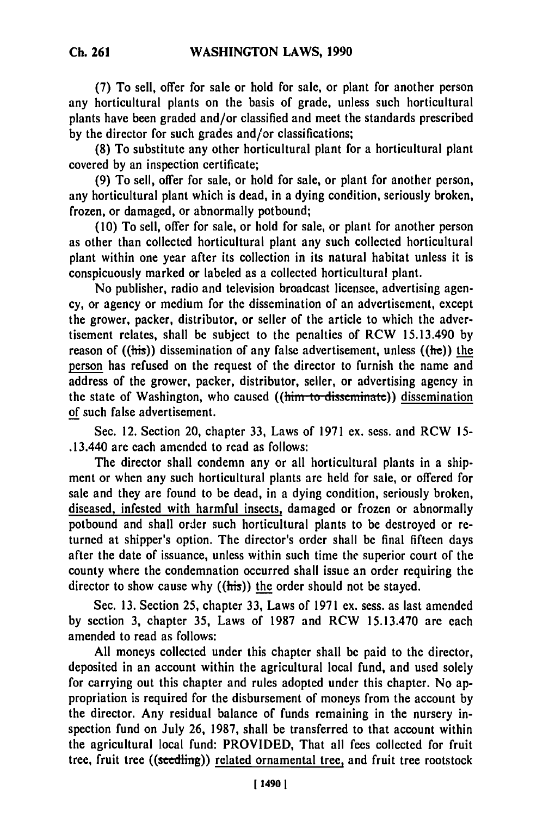**(7) To** sell, offer for sale or hold for sale, or plant for another person any horticultural plants on the basis of grade, unless such horticultural plants have been graded and/or classified and meet the standards prescribed **by** the director for such grades and/or classifications;

**(8)** To substitute any other horticultural plant for a horticultural plant covered **by** an inspection certificate;

**(9)** To sell, offer for sale, or hold for sale, or plant for another person, any horticultural plant which is dead, in a dying condition, seriously broken, frozen, or damaged, or abnormally potbound;

**(10)** To sell, offer for sale, or hold for sale, or plant for another person as other than collected horticultural plant any such collected horticultural plant within one year after its collection in its natural habitat unless it is conspicuously marked or labeled as a collected horticultural plant.

No publisher, radio and television broadcast licensee, advertising agency, or agency or medium for the dissemination of an advertisement, except the grower, packer, distributor, or seller of the article to which the advertisement relates, shall be subject to the penalties of RCW 15.13.490 **by** reason of  $((\overline{\text{his}}))$  dissemination of any false advertisement, unless  $((\overline{\text{he}}))$  the person has refused on the request of the director to furnish the name and address of the grower, packer, distributor, seller, or advertising agency in the state of Washington, who caused ((him to disseminate)) dissemination of such false advertisement.

Sec. 12. Section 20, chapter **33,** Laws of **1971 ex.** sess. and RCW **15-** .13.440 are each amended to read as follows:

The director shall condemn any or all horticultural plants in a shipment or when any such horticultural plants are held for sale, or offered for sale and they are found to be dead, in a dying condition, seriously broken, diseased, infested with harmful insects, damaged or frozen or abnormally potbound and shall order such horticultural plants to be destroyed or returned at shipper's option. The director's order shall be final fifteen days after the date of issuance, unless within such time the superior court of the county where the condemnation occurred shall issue an order requiring the director to show cause why ((his)) the order should not be stayed.

Sec. **13.** Section **25,** chapter **33,** Laws of **1971** ex. sess. as last amended **by** section **3,** chapter **35,** Laws of **1987** and RCW **15.13.470** are each amended to read as follows:

**All** moneys collected under this chapter shall be paid to the director, deposited in an account within the agricultural local fund, and used solely for carrying out this chapter and rules adopted under this chapter. No appropriation is required for the disbursement of moneys from the account **by** the director. Any residual balance of funds remaining in the nursery inspection fund on July **26, 1987,** shall be transferred to that account within the agricultural local fund: PROVIDED, That all fees collected for fruit tree, fruit tree ((seedling)) related ornamental tree, and fruit tree rootstock